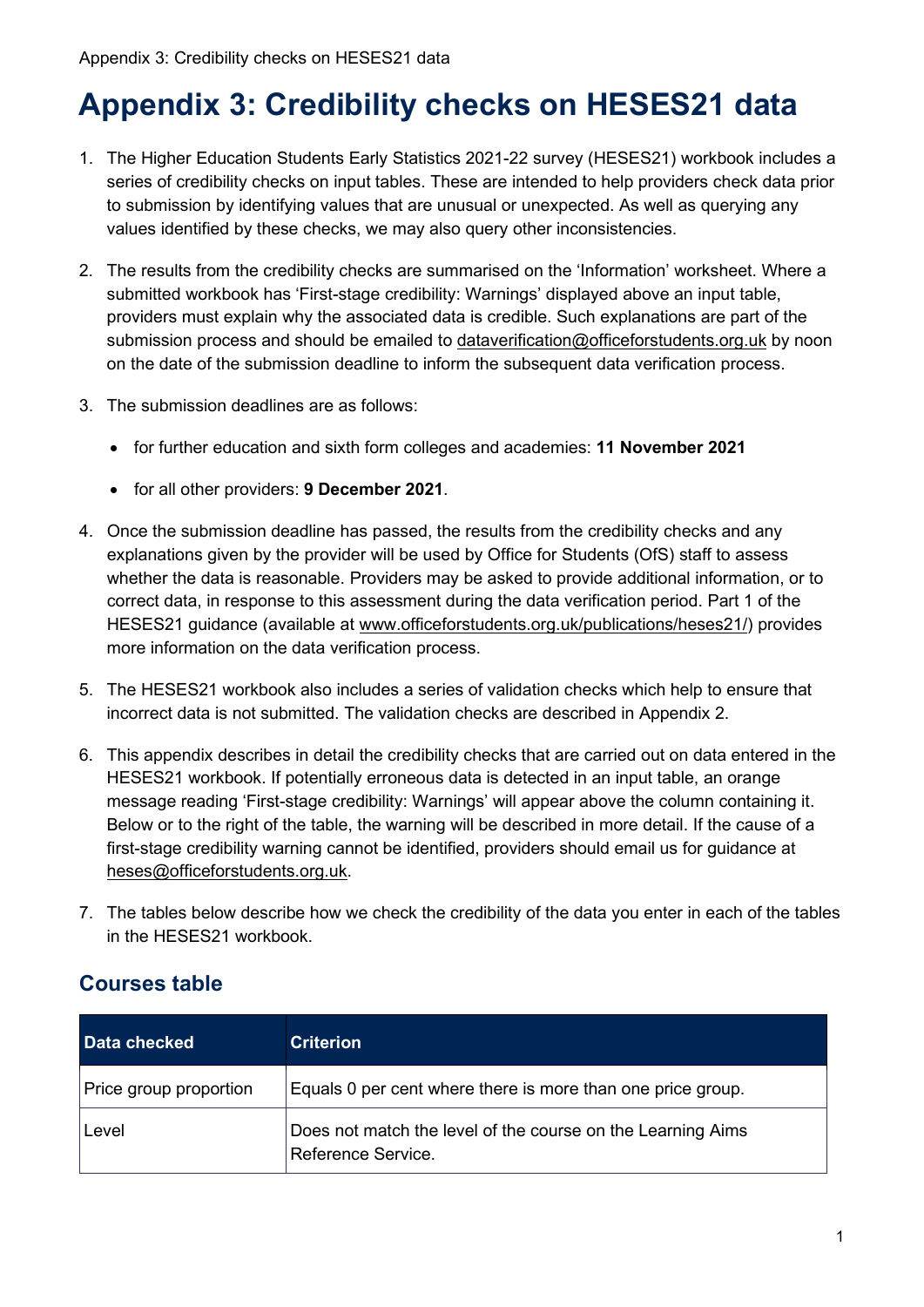# **Appendix 3: Credibility checks on HESES21 data**

- 1. The Higher Education Students Early Statistics 2021-22 survey (HESES21) workbook includes a series of credibility checks on input tables. These are intended to help providers check data prior to submission by identifying values that are unusual or unexpected. As well as querying any values identified by these checks, we may also query other inconsistencies.
- 2. The results from the credibility checks are summarised on the 'Information' worksheet. Where a submitted workbook has 'First-stage credibility: Warnings' displayed above an input table, providers must explain why the associated data is credible. Such explanations are part of the submission process and should be emailed to [dataverification@officeforstudents.org.uk](mailto:dataverification@officeforstudents.org.uk) by noon on the date of the submission deadline to inform the subsequent data verification process.
- 3. The submission deadlines are as follows:
	- for further education and sixth form colleges and academies: **11 November 2021**
	- for all other providers: **9 December 2021**.
- 4. Once the submission deadline has passed, the results from the credibility checks and any explanations given by the provider will be used by Office for Students (OfS) staff to assess whether the data is reasonable. Providers may be asked to provide additional information, or to correct data, in response to this assessment during the data verification period. Part 1 of the HESES21 guidance (available at [www.officeforstudents.org.uk/publications/heses21/\)](http://www.officeforstudents.org.uk/publications/heses21/) provides more information on the data verification process.
- 5. The HESES21 workbook also includes a series of validation checks which help to ensure that incorrect data is not submitted. The validation checks are described in Appendix 2.
- 6. This appendix describes in detail the credibility checks that are carried out on data entered in the HESES21 workbook. If potentially erroneous data is detected in an input table, an orange message reading 'First-stage credibility: Warnings' will appear above the column containing it. Below or to the right of the table, the warning will be described in more detail. If the cause of a first-stage credibility warning cannot be identified, providers should email us for guidance at [heses@officeforstudents.org.uk.](mailto:heses@officeforstudents.org.uk)
- 7. The tables below describe how we check the credibility of the data you enter in each of the tables in the HESES21 workbook.

#### **Courses table**

| Data checked           | <b>Criterion</b>                                                                  |
|------------------------|-----------------------------------------------------------------------------------|
| Price group proportion | Equals 0 per cent where there is more than one price group.                       |
| Level                  | Does not match the level of the course on the Learning Aims<br>Reference Service. |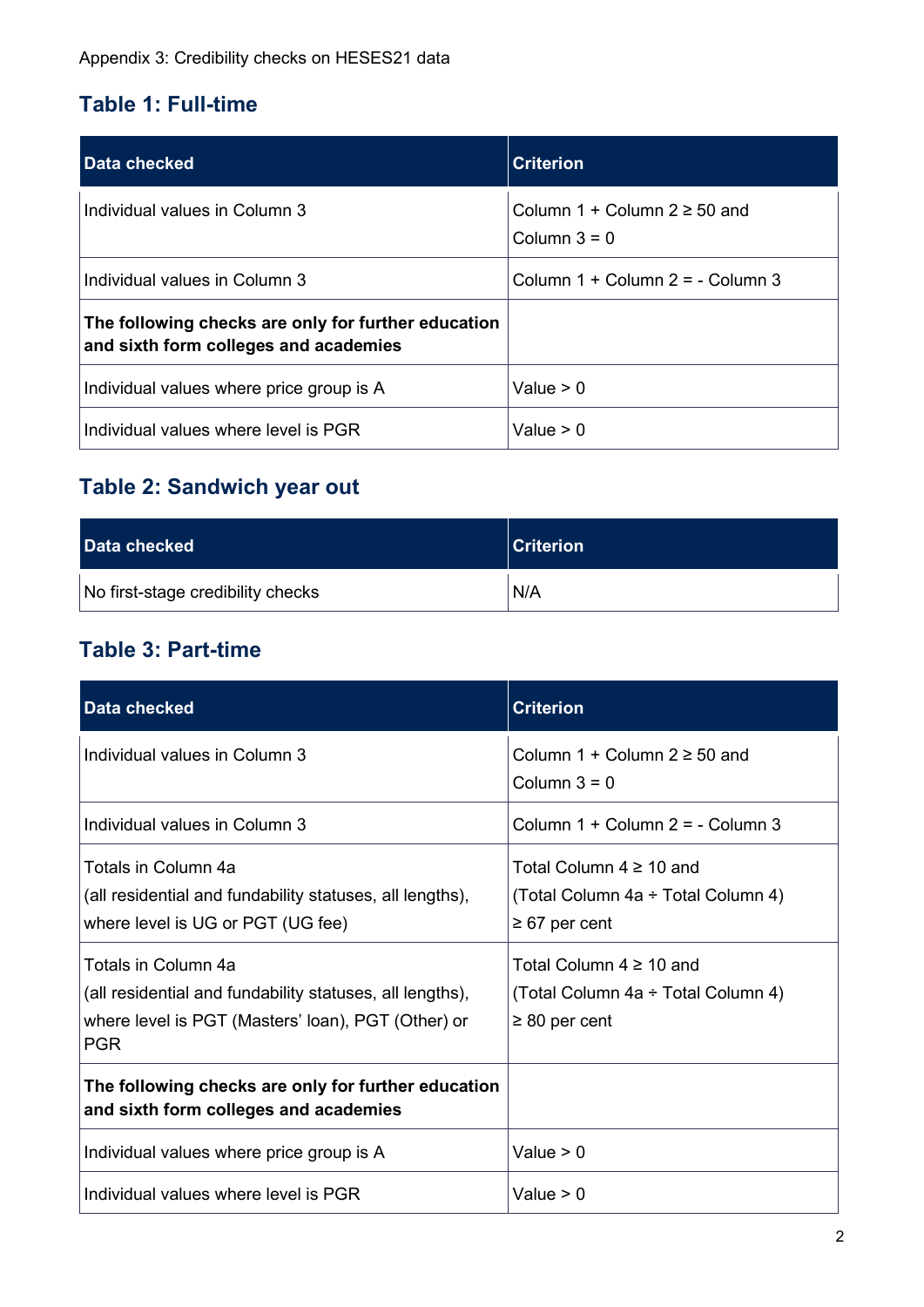## **Table 1: Full-time**

| <b>Data checked</b>                                                                          | <b>Criterion</b>                                   |
|----------------------------------------------------------------------------------------------|----------------------------------------------------|
| Individual values in Column 3                                                                | Column 1 + Column $2 \ge 50$ and<br>Column $3 = 0$ |
| Individual values in Column 3                                                                | Column $1 +$ Column $2 = -$ Column 3               |
| The following checks are only for further education<br>and sixth form colleges and academies |                                                    |
| Individual values where price group is A                                                     | Value $> 0$                                        |
| Individual values where level is PGR                                                         | Value $> 0$                                        |

## **Table 2: Sandwich year out**

| Data checked                      | <b>Criterion</b> |
|-----------------------------------|------------------|
| No first-stage credibility checks | 'N/A             |

#### **Table 3: Part-time**

| Data checked                                                                                                                                        | <b>Criterion</b>                                                                         |
|-----------------------------------------------------------------------------------------------------------------------------------------------------|------------------------------------------------------------------------------------------|
| Individual values in Column 3                                                                                                                       | Column 1 + Column $2 \ge 50$ and<br>Column $3 = 0$                                       |
| Individual values in Column 3                                                                                                                       | Column 1 + Column 2 = - Column 3                                                         |
| Totals in Column 4a<br>(all residential and fundability statuses, all lengths),<br>where level is UG or PGT (UG fee)                                | Total Column $4 \geq 10$ and<br>(Total Column 4a ÷ Total Column 4)<br>$\geq 67$ per cent |
| Totals in Column 4a<br>(all residential and fundability statuses, all lengths),<br>where level is PGT (Masters' loan), PGT (Other) or<br><b>PGR</b> | Total Column $4 \geq 10$ and<br>(Total Column 4a ÷ Total Column 4)<br>$\geq 80$ per cent |
| The following checks are only for further education<br>and sixth form colleges and academies                                                        |                                                                                          |
| Individual values where price group is A                                                                                                            | Value $> 0$                                                                              |
| Individual values where level is PGR                                                                                                                | Value $> 0$                                                                              |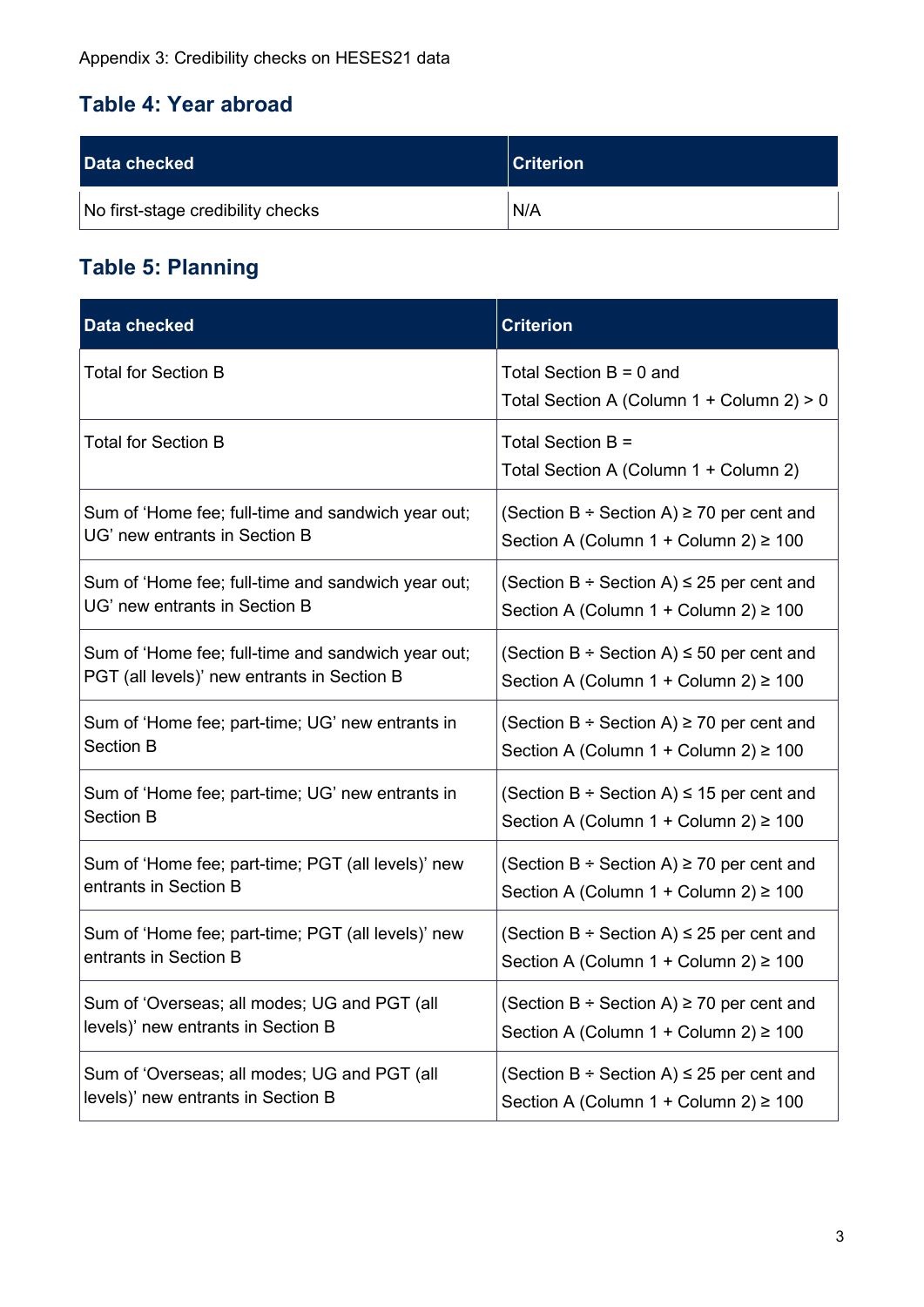### **Table 4: Year abroad**

| Data checked                      | <b>Criterion</b> |
|-----------------------------------|------------------|
| No first-stage credibility checks | N/A              |

## **Table 5: Planning**

| Data checked                                       | <b>Criterion</b>                                                       |
|----------------------------------------------------|------------------------------------------------------------------------|
| <b>Total for Section B</b>                         | Total Section $B = 0$ and<br>Total Section A (Column 1 + Column 2) > 0 |
| <b>Total for Section B</b>                         | Total Section B =<br>Total Section A (Column 1 + Column 2)             |
| Sum of 'Home fee; full-time and sandwich year out; | (Section B ÷ Section A) $\geq$ 70 per cent and                         |
| UG' new entrants in Section B                      | Section A (Column $1 +$ Column 2) $\geq 100$                           |
| Sum of 'Home fee; full-time and sandwich year out; | (Section B ÷ Section A) $\leq$ 25 per cent and                         |
| UG' new entrants in Section B                      | Section A (Column $1 +$ Column 2) $\geq 100$                           |
| Sum of 'Home fee; full-time and sandwich year out; | (Section B ÷ Section A) $\leq$ 50 per cent and                         |
| PGT (all levels)' new entrants in Section B        | Section A (Column $1 +$ Column 2) $\geq 100$                           |
| Sum of 'Home fee; part-time; UG' new entrants in   | (Section B ÷ Section A) $\geq$ 70 per cent and                         |
| <b>Section B</b>                                   | Section A (Column 1 + Column 2) ≥ 100                                  |
| Sum of 'Home fee; part-time; UG' new entrants in   | (Section B ÷ Section A) $\leq$ 15 per cent and                         |
| <b>Section B</b>                                   | Section A (Column $1 +$ Column 2) $\geq 100$                           |
| Sum of 'Home fee; part-time; PGT (all levels)' new | (Section B ÷ Section A) $\geq$ 70 per cent and                         |
| entrants in Section B                              | Section A (Column $1 +$ Column 2) $\geq 100$                           |
| Sum of 'Home fee; part-time; PGT (all levels)' new | (Section B ÷ Section A) $\leq$ 25 per cent and                         |
| entrants in Section B                              | Section A (Column $1 +$ Column 2) $\geq 100$                           |
| Sum of 'Overseas; all modes; UG and PGT (all       | (Section B ÷ Section A) $\geq$ 70 per cent and                         |
| levels)' new entrants in Section B                 | Section A (Column $1 +$ Column 2) $\geq 100$                           |
| Sum of 'Overseas; all modes; UG and PGT (all       | (Section B ÷ Section A) $\leq$ 25 per cent and                         |
| levels)' new entrants in Section B                 | Section A (Column 1 + Column 2) ≥ 100                                  |